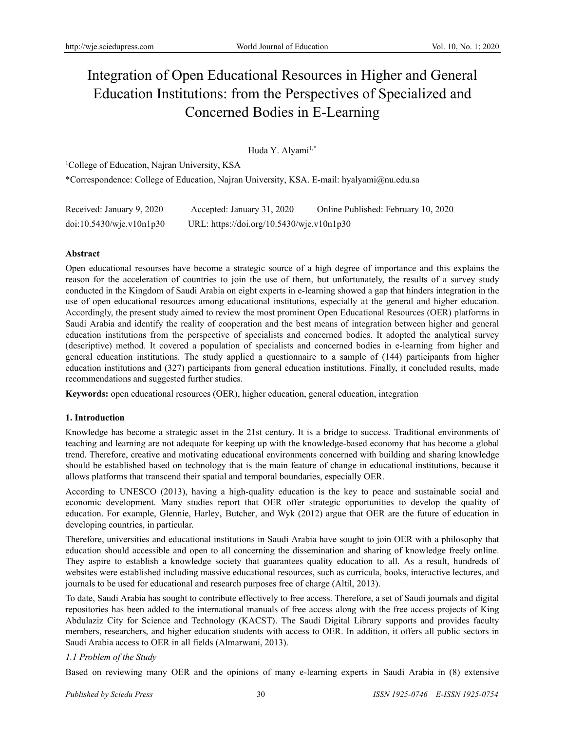# Integration of Open Educational Resources in Higher and General Education Institutions: from the Perspectives of Specialized and Concerned Bodies in E-Learning

Huda Y. Alyami<sup>1,\*</sup>

<sup>1</sup>College of Education, Najran University, KSA \*Correspondence: College of Education, Najran University, KSA. E-mail: hyalyami@nu.edu.sa

| Received: January 9, 2020 | Accepted: January 31, 2020                | Online Published: February 10, 2020 |
|---------------------------|-------------------------------------------|-------------------------------------|
| doi:10.5430/wje.v10n1p30  | URL: https://doi.org/10.5430/wje.v10n1p30 |                                     |

## **Abstract**

Open educational resourses have become a strategic source of a high degree of importance and this explains the reason for the acceleration of countries to join the use of them, but unfortunately, the results of a survey study conducted in the Kingdom of Saudi Arabia on eight experts in e-learning showed a gap that hinders integration in the use of open educational resources among educational institutions, especially at the general and higher education. Accordingly, the present study aimed to review the most prominent Open Educational Resources (OER) platforms in Saudi Arabia and identify the reality of cooperation and the best means of integration between higher and general education institutions from the perspective of specialists and concerned bodies. It adopted the analytical survey (descriptive) method. It covered a population of specialists and concerned bodies in e-learning from higher and general education institutions. The study applied a questionnaire to a sample of (144) participants from higher education institutions and (327) participants from general education institutions. Finally, it concluded results, made recommendations and suggested further studies.

**Keywords:** open educational resources (OER), higher education, general education, integration

# **1. Introduction**

Knowledge has become a strategic asset in the 21st century. It is a bridge to success. Traditional environments of teaching and learning are not adequate for keeping up with the knowledge-based economy that has become a global trend. Therefore, creative and motivating educational environments concerned with building and sharing knowledge should be established based on technology that is the main feature of change in educational institutions, because it allows platforms that transcend their spatial and temporal boundaries, especially OER.

According to UNESCO (2013), having a high-quality education is the key to peace and sustainable social and economic development. Many studies report that OER offer strategic opportunities to develop the quality of education. For example, Glennie, Harley, Butcher, and Wyk (2012) argue that OER are the future of education in developing countries, in particular.

Therefore, universities and educational institutions in Saudi Arabia have sought to join OER with a philosophy that education should accessible and open to all concerning the dissemination and sharing of knowledge freely online. They aspire to establish a knowledge society that guarantees quality education to all. As a result, hundreds of websites were established including massive educational resources, such as curricula, books, interactive lectures, and journals to be used for educational and research purposes free of charge (Altil, 2013).

To date, Saudi Arabia has sought to contribute effectively to free access. Therefore, a set of Saudi journals and digital repositories has been added to the international manuals of free access along with the free access projects of King Abdulaziz City for Science and Technology (KACST). The Saudi Digital Library supports and provides faculty members, researchers, and higher education students with access to OER. In addition, it offers all public sectors in Saudi Arabia access to OER in all fields (Almarwani, 2013).

# *1.1 Problem of the Study*

Based on reviewing many OER and the opinions of many e-learning experts in Saudi Arabia in (8) extensive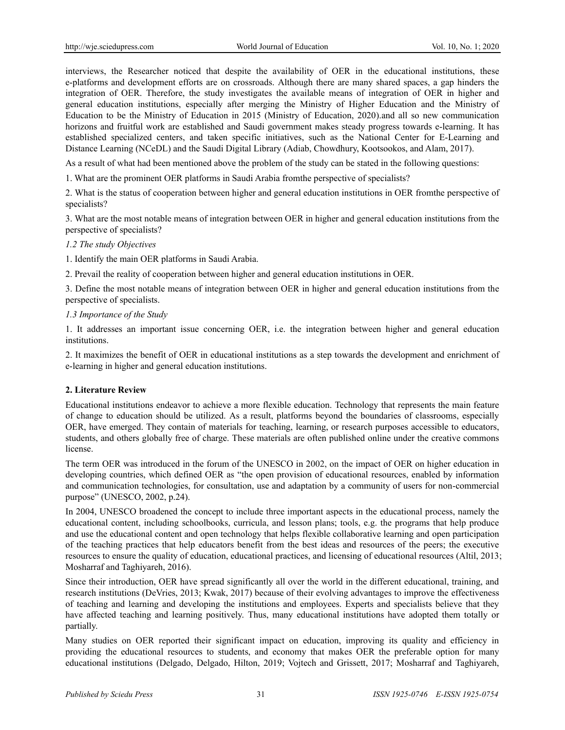interviews, the Researcher noticed that despite the availability of OER in the educational institutions, these e-platforms and development efforts are on crossroads. Although there are many shared spaces, a gap hinders the integration of OER. Therefore, the study investigates the available means of integration of OER in higher and general education institutions, especially after merging the Ministry of Higher Education and the Ministry of Education to be the Ministry of Education in 2015 (Ministry of Education, 2020).and all so new communication horizons and fruitful work are established and Saudi government makes steady progress towards e-learning. It has established specialized centers, and taken specific initiatives, such as the National Center for E-Learning and Distance Learning (NCeDL) and the Saudi Digital Library (Adiab, Chowdhury, Kootsookos, and Alam, 2017).

As a result of what had been mentioned above the problem of the study can be stated in the following questions:

1. What are the prominent OER platforms in Saudi Arabia fromthe perspective of specialists?

2. What is the status of cooperation between higher and general education institutions in OER fromthe perspective of specialists?

3. What are the most notable means of integration between OER in higher and general education institutions from the perspective of specialists?

#### *1.2 The study Objectives*

1. Identify the main OER platforms in Saudi Arabia.

2. Prevail the reality of cooperation between higher and general education institutions in OER.

3. Define the most notable means of integration between OER in higher and general education institutions from the perspective of specialists.

#### *1.3 Importance of the Study*

1. It addresses an important issue concerning OER, i.e. the integration between higher and general education institutions.

2. It maximizes the benefit of OER in educational institutions as a step towards the development and enrichment of e-learning in higher and general education institutions.

## **2. Literature Review**

Educational institutions endeavor to achieve a more flexible education. Technology that represents the main feature of change to education should be utilized. As a result, platforms beyond the boundaries of classrooms, especially OER, have emerged. They contain of materials for teaching, learning, or research purposes accessible to educators, students, and others globally free of charge. These materials are often published online under the creative commons license.

The term OER was introduced in the forum of the UNESCO in 2002, on the impact of OER on higher education in developing countries, which defined OER as "the open provision of educational resources, enabled by information and communication technologies, for consultation, use and adaptation by a community of users for non-commercial purpose" (UNESCO, 2002, p.24).

In 2004, UNESCO broadened the concept to include three important aspects in the educational process, namely the educational content, including schoolbooks, curricula, and lesson plans; tools, e.g. the programs that help produce and use the educational content and open technology that helps flexible collaborative learning and open participation of the teaching practices that help educators benefit from the best ideas and resources of the peers; the executive resources to ensure the quality of education, educational practices, and licensing of educational resources (Altil, 2013; Mosharraf and Taghiyareh, 2016).

Since their introduction, OER have spread significantly all over the world in the different educational, training, and research institutions (DeVries, 2013; Kwak, 2017) because of their evolving advantages to improve the effectiveness of teaching and learning and developing the institutions and employees. Experts and specialists believe that they have affected teaching and learning positively. Thus, many educational institutions have adopted them totally or partially.

Many studies on OER reported their significant impact on education, improving its quality and efficiency in providing the educational resources to students, and economy that makes OER the preferable option for many educational institutions (Delgado, Delgado, Hilton, 2019; Vojtech and Grissett, 2017; Mosharraf and Taghiyareh,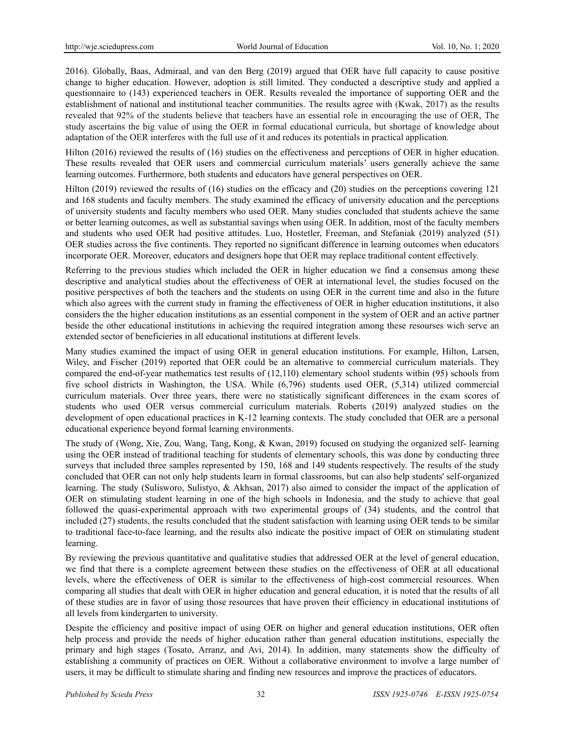2016). Globally, Baas, Admiraal, and van den Berg (2019) argued that OER have full capacity to cause positive change to higher education. However, adoption is still limited. They conducted a descriptive study and applied a questionnaire to (143) experienced teachers in OER. Results revealed the importance of supporting OER and the establishment of national and institutional teacher communities. The results agree with (Kwak, 2017) as the results revealed that 92% of the students believe that teachers have an essential role in encouraging the use of OER, The study ascertains the big value of using the OER in formal educational curricula, but shortage of knowledge about adaptation of the OER interferes with the full use of it and reduces its potentials in practical application*.* 

Hilton (2016) reviewed the results of (16) studies on the effectiveness and perceptions of OER in higher education. These results revealed that OER users and commercial curriculum materials' users generally achieve the same learning outcomes. Furthermore, both students and educators have general perspectives on OER.

Hilton (2019) reviewed the results of (16) studies on the efficacy and (20) studies on the perceptions covering 121 and 168 students and faculty members. The study examined the efficacy of university education and the perceptions of university students and faculty members who used OER. Many studies concluded that students achieve the same or better learning outcomes, as well as substantial savings when using OER. In addition, most of the faculty members and students who used OER had positive attitudes. Luo, Hostetler, Freeman, and Stefaniak (2019) analyzed (51) OER studies across the five continents. They reported no significant difference in learning outcomes when educators incorporate OER. Moreover, educators and designers hope that OER may replace traditional content effectively.

Referring to the previous studies which included the OER in higher education we find a consensus among these descriptive and analytical studies about the effectiveness of OER at international level, the studies focused on the positive perspectives of both the teachers and the students on using OER in the current time and also in the future which also agrees with the current study in framing the effectiveness of OER in higher education institutions, it also considers the the higher education institutions as an essential component in the system of OER and an active partner beside the other educational institutions in achieving the required integration among these resourses wich serve an extended sector of beneficieries in all educational institutions at different levels.

Many studies examined the impact of using OER in general education institutions. For example, Hilton, Larsen, Wiley, and Fischer (2019) reported that OER could be an alternative to commercial curriculum materials. They compared the end-of-year mathematics test results of (12,110) elementary school students within (95) schools from five school districts in Washington, the USA. While (6,796) students used OER, (5,314) utilized commercial curriculum materials. Over three years, there were no statistically significant differences in the exam scores of students who used OER versus commercial curriculum materials. Roberts (2019) analyzed studies on the development of open educational practices in K-12 learning contexts. The study concluded that OER are a personal educational experience beyond formal learning environments.

The study of (Wong, Xie, Zou, Wang, Tang, Kong, & Kwan, 2019) focused on studying the organized self- learning using the OER instead of traditional teaching for students of elementary schools, this was done by conducting three surveys that included three samples represented by 150, 168 and 149 students respectively. The results of the study concluded that OER can not only help students learn in formal classrooms, but can also help students' self-organized learning. The study (Sulisworo, Sulistyo, & Akhsan, 2017) also aimed to consider the impact of the application of OER on stimulating student learning in one of the high schools in Indonesia, and the study to achieve that goal followed the quasi-experimental approach with two experimental groups of (34) students, and the control that included (27) students, the results concluded that the student satisfaction with learning using OER tends to be similar to traditional face-to-face learning, and the results also indicate the positive impact of OER on stimulating student learning.

By reviewing the previous quantitative and qualitative studies that addressed OER at the level of general education, we find that there is a complete agreement between these studies on the effectiveness of OER at all educational levels, where the effectiveness of OER is similar to the effectiveness of high-cost commercial resources. When comparing all studies that dealt with OER in higher education and general education, it is noted that the results of all of these studies are in favor of using those resources that have proven their efficiency in educational institutions of all levels from kindergarten to university.

Despite the efficiency and positive impact of using OER on higher and general education institutions, OER often help process and provide the needs of higher education rather than general education institutions, especially the primary and high stages (Tosato, Arranz, and Avi, 2014). In addition, many statements show the difficulty of establishing a community of practices on OER. Without a collaborative environment to involve a large number of users, it may be difficult to stimulate sharing and finding new resources and improve the practices of educators.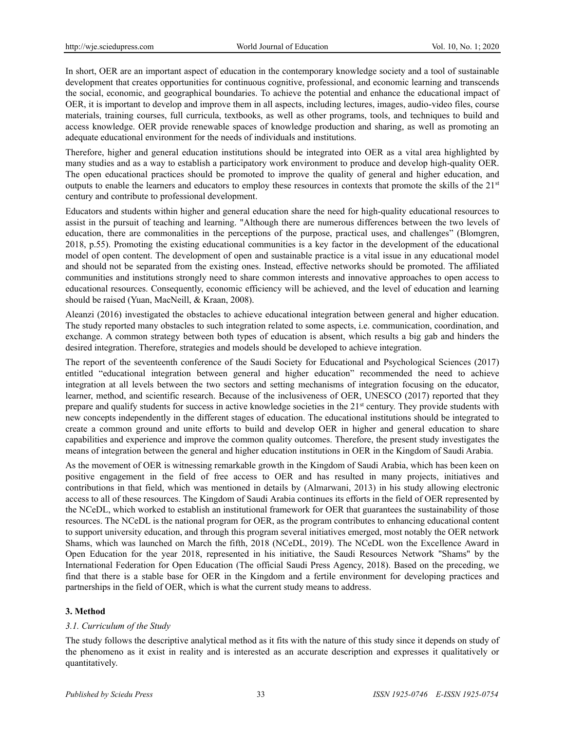In short, OER are an important aspect of education in the contemporary knowledge society and a tool of sustainable development that creates opportunities for continuous cognitive, professional, and economic learning and transcends the social, economic, and geographical boundaries. To achieve the potential and enhance the educational impact of OER, it is important to develop and improve them in all aspects, including lectures, images, audio-video files, course materials, training courses, full curricula, textbooks, as well as other programs, tools, and techniques to build and access knowledge. OER provide renewable spaces of knowledge production and sharing, as well as promoting an adequate educational environment for the needs of individuals and institutions.

Therefore, higher and general education institutions should be integrated into OER as a vital area highlighted by many studies and as a way to establish a participatory work environment to produce and develop high-quality OER. The open educational practices should be promoted to improve the quality of general and higher education, and outputs to enable the learners and educators to employ these resources in contexts that promote the skills of the  $21<sup>st</sup>$ century and contribute to professional development.

Educators and students within higher and general education share the need for high-quality educational resources to assist in the pursuit of teaching and learning. "Although there are numerous differences between the two levels of education, there are commonalities in the perceptions of the purpose, practical uses, and challenges" (Blomgren, 2018, p.55). Promoting the existing educational communities is a key factor in the development of the educational model of open content. The development of open and sustainable practice is a vital issue in any educational model and should not be separated from the existing ones. Instead, effective networks should be promoted. The affiliated communities and institutions strongly need to share common interests and innovative approaches to open access to educational resources. Consequently, economic efficiency will be achieved, and the level of education and learning should be raised (Yuan, MacNeill, & Kraan, 2008).

Aleanzi (2016) investigated the obstacles to achieve educational integration between general and higher education. The study reported many obstacles to such integration related to some aspects, i.e. communication, coordination, and exchange. A common strategy between both types of education is absent, which results a big gab and hinders the desired integration. Therefore, strategies and models should be developed to achieve integration.

The report of the seventeenth conference of the Saudi Society for Educational and Psychological Sciences (2017) entitled "educational integration between general and higher education" recommended the need to achieve integration at all levels between the two sectors and setting mechanisms of integration focusing on the educator, learner, method, and scientific research. Because of the inclusiveness of OER, UNESCO (2017) reported that they prepare and qualify students for success in active knowledge societies in the  $21<sup>st</sup>$  century. They provide students with new concepts independently in the different stages of education. The educational institutions should be integrated to create a common ground and unite efforts to build and develop OER in higher and general education to share capabilities and experience and improve the common quality outcomes. Therefore, the present study investigates the means of integration between the general and higher education institutions in OER in the Kingdom of Saudi Arabia.

As the movement of OER is witnessing remarkable growth in the Kingdom of Saudi Arabia, which has been keen on positive engagement in the field of free access to OER and has resulted in many projects, initiatives and contributions in that field, which was mentioned in details by (Almarwani, 2013) in his study allowing electronic access to all of these resources. The Kingdom of Saudi Arabia continues its efforts in the field of OER represented by the NCeDL, which worked to establish an institutional framework for OER that guarantees the sustainability of those resources. The NCeDL is the national program for OER, as the program contributes to enhancing educational content to support university education, and through this program several initiatives emerged, most notably the OER network Shams, which was launched on March the fifth, 2018 (NCeDL, 2019). The NCeDL won the Excellence Award in Open Education for the year 2018, represented in his initiative, the Saudi Resources Network "Shams" by the International Federation for Open Education (The official Saudi Press Agency, 2018). Based on the preceding, we find that there is a stable base for OER in the Kingdom and a fertile environment for developing practices and partnerships in the field of OER, which is what the current study means to address.

# **3. Method**

## *3.1. Curriculum of the Study*

The study follows the descriptive analytical method as it fits with the nature of this study since it depends on study of the phenomeno as it exist in reality and is interested as an accurate description and expresses it qualitatively or quantitatively.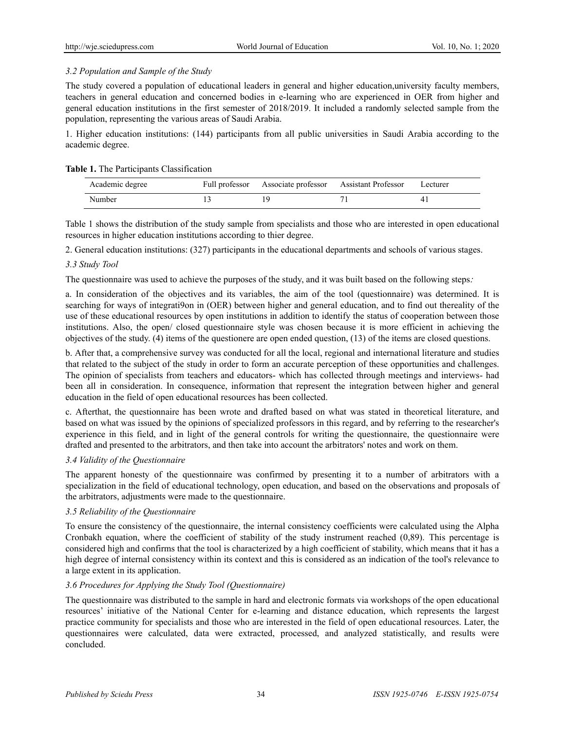## *3.2 Population and Sample of the Study*

The study covered a population of educational leaders in general and higher education,university faculty members, teachers in general education and concerned bodies in e-learning who are experienced in OER from higher and general education institutions in the first semester of 2018/2019. It included a randomly selected sample from the population, representing the various areas of Saudi Arabia.

1. Higher education institutions: (144) participants from all public universities in Saudi Arabia according to the academic degree.

#### **Table 1.** The Participants Classification

| Academic degree |  | Full professor Associate professor Assistant Professor | Lecturer |
|-----------------|--|--------------------------------------------------------|----------|
| Number          |  |                                                        |          |

Table 1 shows the distribution of the study sample from specialists and those who are interested in open educational resources in higher education institutions according to thier degree.

2. General education institutions: (327) participants in the educational departments and schools of various stages.

## *3.3 Study Tool*

The questionnaire was used to achieve the purposes of the study, and it was built based on the following steps:

a. In consideration of the objectives and its variables, the aim of the tool (questionnaire) was determined. It is searching for ways of integrati9on in (OER) between higher and general education, and to find out thereality of the use of these educational resources by open institutions in addition to identify the status of cooperation between those institutions. Also, the open/ closed questionnaire style was chosen because it is more efficient in achieving the objectives of the study. (4) items of the questionere are open ended question, (13) of the items are closed questions.

b. After that, a comprehensive survey was conducted for all the local, regional and international literature and studies that related to the subject of the study in order to form an accurate perception of these opportunities and challenges. The opinion of specialists from teachers and educators- which has collected through meetings and interviews- had been all in consideration. In consequence, information that represent the integration between higher and general education in the field of open educational resources has been collected.

c. Afterthat, the questionnaire has been wrote and drafted based on what was stated in theoretical literature, and based on what was issued by the opinions of specialized professors in this regard, and by referring to the researcher's experience in this field, and in light of the general controls for writing the questionnaire, the questionnaire were drafted and presented to the arbitrators, and then take into account the arbitrators' notes and work on them.

## *3.4 Validity of the Questionnaire*

The apparent honesty of the questionnaire was confirmed by presenting it to a number of arbitrators with a specialization in the field of educational technology, open education, and based on the observations and proposals of the arbitrators, adjustments were made to the questionnaire.

## *3.5 Reliability of the Questionnaire*

To ensure the consistency of the questionnaire, the internal consistency coefficients were calculated using the Alpha Cronbakh equation, where the coefficient of stability of the study instrument reached (0,89). This percentage is considered high and confirms that the tool is characterized by a high coefficient of stability, which means that it has a high degree of internal consistency within its context and this is considered as an indication of the tool's relevance to a large extent in its application.

## *3.6 Procedures for Applying the Study Tool (Questionnaire)*

The questionnaire was distributed to the sample in hard and electronic formats via workshops of the open educational resources' initiative of the National Center for e-learning and distance education, which represents the largest practice community for specialists and those who are interested in the field of open educational resources. Later, the questionnaires were calculated, data were extracted, processed, and analyzed statistically, and results were concluded.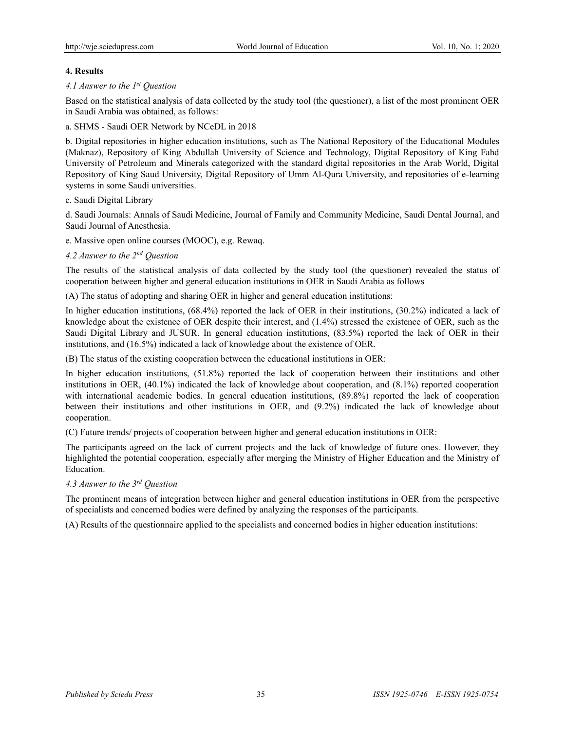## **4. Results**

### *4.1 Answer to the 1st Question*

Based on the statistical analysis of data collected by the study tool (the questioner), a list of the most prominent OER in Saudi Arabia was obtained, as follows:

## a. SHMS - Saudi OER Network by NCeDL in 2018

b. Digital repositories in higher education institutions, such as The National Repository of the Educational Modules (Maknaz), Repository of King Abdullah University of Science and Technology, Digital Repository of King Fahd University of Petroleum and Minerals categorized with the standard digital repositories in the Arab World, Digital Repository of King Saud University, Digital Repository of Umm Al-Qura University, and repositories of e-learning systems in some Saudi universities.

#### c. Saudi Digital Library

d. Saudi Journals: Annals of Saudi Medicine, Journal of Family and Community Medicine, Saudi Dental Journal, and Saudi Journal of Anesthesia.

e. Massive open online courses (MOOC), e.g. Rewaq.

## *4.2 Answer to the 2nd Question*

The results of the statistical analysis of data collected by the study tool (the questioner) revealed the status of cooperation between higher and general education institutions in OER in Saudi Arabia as follows

(A) The status of adopting and sharing OER in higher and general education institutions:

In higher education institutions, (68.4%) reported the lack of OER in their institutions, (30.2%) indicated a lack of knowledge about the existence of OER despite their interest, and (1.4%) stressed the existence of OER, such as the Saudi Digital Library and JUSUR. In general education institutions, (83.5%) reported the lack of OER in their institutions, and (16.5%) indicated a lack of knowledge about the existence of OER.

(B) The status of the existing cooperation between the educational institutions in OER:

In higher education institutions, (51.8%) reported the lack of cooperation between their institutions and other institutions in OER, (40.1%) indicated the lack of knowledge about cooperation, and (8.1%) reported cooperation with international academic bodies. In general education institutions, (89.8%) reported the lack of cooperation between their institutions and other institutions in OER, and (9.2%) indicated the lack of knowledge about cooperation.

(C) Future trends/ projects of cooperation between higher and general education institutions in OER:

The participants agreed on the lack of current projects and the lack of knowledge of future ones. However, they highlighted the potential cooperation, especially after merging the Ministry of Higher Education and the Ministry of Education.

## *4.3 Answer to the 3rd Question*

The prominent means of integration between higher and general education institutions in OER from the perspective of specialists and concerned bodies were defined by analyzing the responses of the participants.

(A) Results of the questionnaire applied to the specialists and concerned bodies in higher education institutions: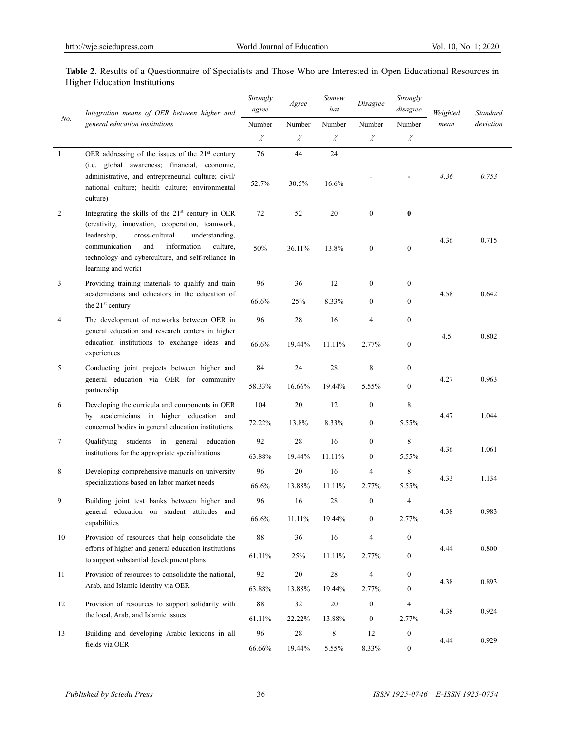## **Table 2.** Results of a Questionnaire of Specialists and Those Who are Interested in Open Educational Resources in Higher Education Institutions

|        | Integration means of OER between higher and<br>general education institutions                                                                                                                                                    | Strongly<br>agree | Agree                | Somew<br>hat | Disagree                   | Strongly<br>disagree | Weighted | Standard  |
|--------|----------------------------------------------------------------------------------------------------------------------------------------------------------------------------------------------------------------------------------|-------------------|----------------------|--------------|----------------------------|----------------------|----------|-----------|
| No.    |                                                                                                                                                                                                                                  | Number            | Number               | Number       | Number                     | Number               | mean     | deviation |
|        |                                                                                                                                                                                                                                  | $\mathcal{Z}$     | $\ddot{\mathcal{L}}$ | χ            | $\boldsymbol{\mathcal{Z}}$ | $\dot{\mathcal{L}}$  |          |           |
| -1     | OER addressing of the issues of the 21 <sup>st</sup> century                                                                                                                                                                     | 76                | 44                   | 24           |                            |                      |          |           |
|        | (i.e. global awareness; financial, economic,<br>administrative, and entrepreneurial culture; civil/<br>national culture; health culture; environmental<br>culture)                                                               | 52.7%             | 30.5%                | 16.6%        |                            |                      | 4.36     | 0.753     |
| 2      | Integrating the skills of the 21 <sup>st</sup> century in OER                                                                                                                                                                    | 72                | 52                   | 20           | $\mathbf{0}$               | $\bf{0}$             |          |           |
|        | (creativity, innovation, cooperation, teamwork,<br>leadership,<br>cross-cultural<br>understanding,<br>communication<br>and<br>information<br>culture,<br>technology and cyberculture, and self-reliance in<br>learning and work) | 50%               | 36.11%               | 13.8%        | $\mathbf{0}$               | $\boldsymbol{0}$     | 4.36     | 0.715     |
| 3      | Providing training materials to qualify and train                                                                                                                                                                                | 96                | 36                   | 12           | $\mathbf{0}$               | $\boldsymbol{0}$     |          |           |
|        | academicians and educators in the education of<br>the 21 <sup>st</sup> century                                                                                                                                                   | 66.6%             | 25%                  | 8.33%        | $\mathbf{0}$               | $\boldsymbol{0}$     | 4.58     | 0.642     |
| 4      | The development of networks between OER in                                                                                                                                                                                       | 96                | 28                   | 16           | 4                          | $\boldsymbol{0}$     |          |           |
|        | general education and research centers in higher<br>education institutions to exchange ideas and<br>experiences                                                                                                                  | 66.6%             | 19.44%               | 11.11%       | 2.77%                      | $\boldsymbol{0}$     | 4.5      | 0.802     |
| 5      | Conducting joint projects between higher and<br>general education via OER for community<br>partnership                                                                                                                           | 84                | 24                   | $28\,$       | 8                          | $\boldsymbol{0}$     | 4.27     |           |
|        |                                                                                                                                                                                                                                  | 58.33%            | 16.66%               | 19.44%       | 5.55%                      | 0                    |          | 0.963     |
| 6      | Developing the curricula and components in OER                                                                                                                                                                                   | 104               | 20                   | 12           | $\boldsymbol{0}$           | 8                    |          |           |
|        | academicians in higher education and<br>by<br>concerned bodies in general education institutions                                                                                                                                 | 72.22%            | 13.8%                | 8.33%        | $\boldsymbol{0}$           | 5.55%                | 4.47     | 1.044     |
| 7      | Qualifying students in general education                                                                                                                                                                                         | 92                | 28                   | 16           | $\overline{0}$             | 8                    | 4.36     | 1.061     |
|        | institutions for the appropriate specializations                                                                                                                                                                                 | 63.88%            | 19.44%               | 11.11%       | $\boldsymbol{0}$           | 5.55%                |          |           |
| 8      | Developing comprehensive manuals on university<br>specializations based on labor market needs                                                                                                                                    | 96                | 20                   | 16           | 4                          | 8                    | 4.33     | 1.134     |
|        |                                                                                                                                                                                                                                  | 66.6%             | 13.88%               | 11.11%       | 2.77%                      | 5.55%                |          |           |
| 9      | Building joint test banks between higher and<br>general education on student attitudes and                                                                                                                                       | 96                | 16                   | 28           | $\mathbf{0}$               | 4                    | 4.38     | 0.983     |
|        | capabilities                                                                                                                                                                                                                     | 66.6%             | 11.11%               | 19.44%       | $\mathbf{0}$               | 2.77%                |          |           |
| $10\,$ | Provision of resources that help consolidate the                                                                                                                                                                                 | 88                | 36                   | 16           | 4                          | $\boldsymbol{0}$     | 4.44     |           |
|        | efforts of higher and general education institutions<br>to support substantial development plans                                                                                                                                 | 61.11%            | 25%                  | 11.11%       | 2.77%                      | 0                    |          | 0.800     |
| 11     | Provision of resources to consolidate the national,                                                                                                                                                                              | 92                | 20                   | 28           | $\overline{4}$             | 0<br>4.38            |          | 0.893     |
|        | Arab, and Islamic identity via OER                                                                                                                                                                                               | 63.88%            | 13.88%               | 19.44%       | 2.77%                      | 0                    |          |           |
| 12     | Provision of resources to support solidarity with                                                                                                                                                                                | 88                | $32\,$               | $20\,$       | $\boldsymbol{0}$           | 4                    | 4.38     | 0.924     |
|        | the local, Arab, and Islamic issues                                                                                                                                                                                              | 61.11%            | 22.22%               | 13.88%       | $\boldsymbol{0}$           | 2.77%                |          |           |
| 13     | Building and developing Arabic lexicons in all<br>fields via OER                                                                                                                                                                 | 96                | 28                   | $\,$ 8 $\,$  | 12                         | $\boldsymbol{0}$     | 4.44     | 0.929     |
|        |                                                                                                                                                                                                                                  | 66.66%            | 19.44%               | 5.55%        | 8.33%                      | $\boldsymbol{0}$     |          |           |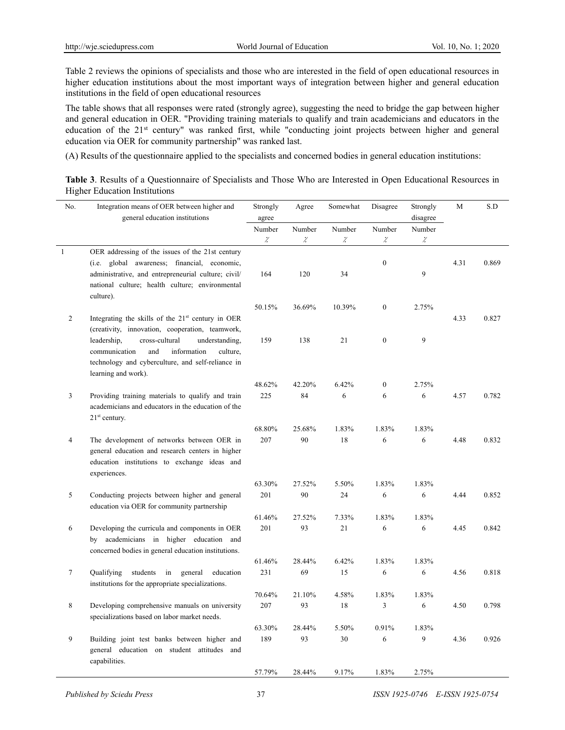Table 2 reviews the opinions of specialists and those who are interested in the field of open educational resources in higher education institutions about the most important ways of integration between higher and general education institutions in the field of open educational resources

The table shows that all responses were rated (strongly agree), suggesting the need to bridge the gap between higher and general education in OER. "Providing training materials to qualify and train academicians and educators in the education of the 21st century" was ranked first, while "conducting joint projects between higher and general education via OER for community partnership" was ranked last.

(A) Results of the questionnaire applied to the specialists and concerned bodies in general education institutions:

| Table 3. Results of a Questionnaire of Specialists and Those Who are Interested in Open Educational Resources in |  |  |  |  |  |
|------------------------------------------------------------------------------------------------------------------|--|--|--|--|--|
| <b>Higher Education Institutions</b>                                                                             |  |  |  |  |  |

| No.            | Integration means of OER between higher and         | Strongly                       | Agree            | Somewhat                       | Disagree                | Strongly                       | M    | S.D   |
|----------------|-----------------------------------------------------|--------------------------------|------------------|--------------------------------|-------------------------|--------------------------------|------|-------|
|                | general education institutions                      | agree                          |                  |                                |                         | disagree                       |      |       |
|                |                                                     | Number<br>$\ddot{\mathcal{L}}$ | Number<br>$\chi$ | Number<br>$\ddot{\mathcal{L}}$ | Number<br>$\mathcal{Z}$ | Number<br>$\ddot{\mathcal{L}}$ |      |       |
| $\mathbf{1}$   | OER addressing of the issues of the 21st century    |                                |                  |                                |                         |                                |      |       |
|                | (i.e. global awareness; financial, economic,        |                                |                  |                                | $\boldsymbol{0}$        |                                | 4.31 | 0.869 |
|                | administrative, and entrepreneurial culture; civil/ | 164                            | 120              | 34                             |                         | 9                              |      |       |
|                | national culture; health culture; environmental     |                                |                  |                                |                         |                                |      |       |
|                | culture).                                           |                                |                  |                                |                         |                                |      |       |
|                |                                                     | 50.15%                         | 36.69%           | 10.39%                         | $\boldsymbol{0}$        | 2.75%                          |      |       |
| $\overline{2}$ | Integrating the skills of the $21st$ century in OER |                                |                  |                                |                         |                                | 4.33 | 0.827 |
|                | (creativity, innovation, cooperation, teamwork,     |                                |                  |                                |                         |                                |      |       |
|                | cross-cultural<br>understanding,<br>leadership,     | 159                            | 138              | 21                             | $\mathbf{0}$            | 9                              |      |       |
|                | communication<br>and<br>information<br>culture,     |                                |                  |                                |                         |                                |      |       |
|                | technology and cyberculture, and self-reliance in   |                                |                  |                                |                         |                                |      |       |
|                | learning and work).                                 |                                |                  |                                |                         |                                |      |       |
| 3              | Providing training materials to qualify and train   | 48.62%<br>225                  | 42.20%<br>84     | 6.42%<br>6                     | $\mathbf{0}$<br>6       | 2.75%<br>6                     | 4.57 | 0.782 |
|                | academicians and educators in the education of the  |                                |                  |                                |                         |                                |      |       |
|                | $21st$ century.                                     |                                |                  |                                |                         |                                |      |       |
|                |                                                     | 68.80%                         | 25.68%           | 1.83%                          | 1.83%                   | 1.83%                          |      |       |
| $\overline{4}$ | The development of networks between OER in          | 207                            | 90               | 18                             | 6                       | 6                              | 4.48 | 0.832 |
|                | general education and research centers in higher    |                                |                  |                                |                         |                                |      |       |
|                | education institutions to exchange ideas and        |                                |                  |                                |                         |                                |      |       |
|                | experiences.                                        |                                |                  |                                |                         |                                |      |       |
|                |                                                     | 63.30%                         | 27.52%           | 5.50%                          | 1.83%                   | 1.83%                          |      |       |
| 5              | Conducting projects between higher and general      | 201                            | 90               | 24                             | 6                       | 6                              | 4.44 | 0.852 |
|                | education via OER for community partnership         |                                |                  |                                |                         |                                |      |       |
| 6              | Developing the curricula and components in OER      | 61.46%<br>201                  | 27.52%<br>93     | 7.33%<br>21                    | 1.83%<br>6              | 1.83%<br>6                     | 4.45 | 0.842 |
|                | academicians in higher education and<br>by          |                                |                  |                                |                         |                                |      |       |
|                | concerned bodies in general education institutions. |                                |                  |                                |                         |                                |      |       |
|                |                                                     | 61.46%                         | 28.44%           | 6.42%                          | 1.83%                   | 1.83%                          |      |       |
| $\tau$         | Qualifying<br>students in<br>general<br>education   | 231                            | 69               | 15                             | 6                       | 6                              | 4.56 | 0.818 |
|                | institutions for the appropriate specializations.   |                                |                  |                                |                         |                                |      |       |
|                |                                                     | 70.64%                         | 21.10%           | 4.58%                          | 1.83%                   | 1.83%                          |      |       |
| 8              | Developing comprehensive manuals on university      | 207                            | 93               | 18                             | 3                       | 6                              | 4.50 | 0.798 |
|                | specializations based on labor market needs.        |                                |                  |                                |                         |                                |      |       |
|                |                                                     | 63.30%                         | 28.44%           | 5.50%                          | 0.91%                   | 1.83%                          |      |       |
| 9              | Building joint test banks between higher and        | 189                            | 93               | 30                             | 6                       | 9                              | 4.36 | 0.926 |
|                | general education on student attitudes and          |                                |                  |                                |                         |                                |      |       |
|                | capabilities.                                       | 57.79%                         | 28.44%           | 9.17%                          | 1.83%                   | 2.75%                          |      |       |
|                |                                                     |                                |                  |                                |                         |                                |      |       |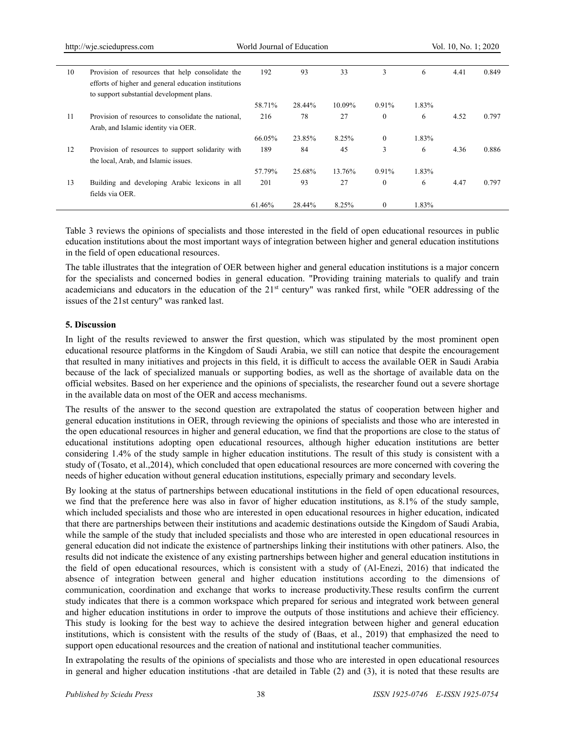|    | http://wje.sciedupress.com                           | World Journal of Education |        |        |              |       | Vol. 10, No. 1; 2020 |       |
|----|------------------------------------------------------|----------------------------|--------|--------|--------------|-------|----------------------|-------|
| 10 | Provision of resources that help consolidate the     | 192                        | 93     | 33     | 3            | 6     | 4.41                 | 0.849 |
|    | efforts of higher and general education institutions |                            |        |        |              |       |                      |       |
|    | to support substantial development plans.            |                            |        |        |              |       |                      |       |
|    |                                                      | 58.71%                     | 28.44% | 10.09% | 0.91%        | 1.83% |                      |       |
| 11 | Provision of resources to consolidate the national,  | 216                        | 78     | 27     | $\mathbf{0}$ | 6     | 4.52                 | 0.797 |
|    | Arab, and Islamic identity via OER.                  |                            |        |        |              |       |                      |       |
|    |                                                      | 66.05%                     | 23.85% | 8.25%  | $\theta$     | 1.83% |                      |       |
| 12 | Provision of resources to support solidarity with    | 189                        | 84     | 45     | 3            | 6     | 4.36                 | 0.886 |
|    | the local, Arab, and Islamic issues.                 |                            |        |        |              |       |                      |       |
|    |                                                      | 57.79%                     | 25.68% | 13.76% | 0.91%        | 1.83% |                      |       |
| 13 | Building and developing Arabic lexicons in all       | 201                        | 93     | 27     | $\mathbf{0}$ | 6     | 4.47                 | 0.797 |
|    | fields via OER.                                      |                            |        |        |              |       |                      |       |
|    |                                                      | 61.46%                     | 28.44% | 8.25%  | $\mathbf{0}$ | 1.83% |                      |       |

Table 3 reviews the opinions of specialists and those interested in the field of open educational resources in public education institutions about the most important ways of integration between higher and general education institutions in the field of open educational resources.

The table illustrates that the integration of OER between higher and general education institutions is a major concern for the specialists and concerned bodies in general education. "Providing training materials to qualify and train academicians and educators in the education of the 21<sup>st</sup> century" was ranked first, while "OER addressing of the issues of the 21st century" was ranked last.

#### **5. Discussion**

In light of the results reviewed to answer the first question, which was stipulated by the most prominent open educational resource platforms in the Kingdom of Saudi Arabia, we still can notice that despite the encouragement that resulted in many initiatives and projects in this field, it is difficult to access the available OER in Saudi Arabia because of the lack of specialized manuals or supporting bodies, as well as the shortage of available data on the official websites. Based on her experience and the opinions of specialists, the researcher found out a severe shortage in the available data on most of the OER and access mechanisms.

The results of the answer to the second question are extrapolated the status of cooperation between higher and general education institutions in OER, through reviewing the opinions of specialists and those who are interested in the open educational resources in higher and general education, we find that the proportions are close to the status of educational institutions adopting open educational resources, although higher education institutions are better considering 1.4% of the study sample in higher education institutions. The result of this study is consistent with a study of (Tosato, et al.,2014), which concluded that open educational resources are more concerned with covering the needs of higher education without general education institutions, especially primary and secondary levels.

By looking at the status of partnerships between educational institutions in the field of open educational resources, we find that the preference here was also in favor of higher education institutions, as 8.1% of the study sample, which included specialists and those who are interested in open educational resources in higher education, indicated that there are partnerships between their institutions and academic destinations outside the Kingdom of Saudi Arabia, while the sample of the study that included specialists and those who are interested in open educational resources in general education did not indicate the existence of partnerships linking their institutions with other patiners. Also, the results did not indicate the existence of any existing partnerships between higher and general education institutions in the field of open educational resources, which is consistent with a study of (Al-Enezi, 2016) that indicated the absence of integration between general and higher education institutions according to the dimensions of communication, coordination and exchange that works to increase productivity.These results confirm the current study indicates that there is a common workspace which prepared for serious and integrated work between general and higher education institutions in order to improve the outputs of those institutions and achieve their efficiency. This study is looking for the best way to achieve the desired integration between higher and general education institutions, which is consistent with the results of the study of (Baas, et al., 2019) that emphasized the need to support open educational resources and the creation of national and institutional teacher communities.

In extrapolating the results of the opinions of specialists and those who are interested in open educational resources in general and higher education institutions -that are detailed in Table (2) and (3), it is noted that these results are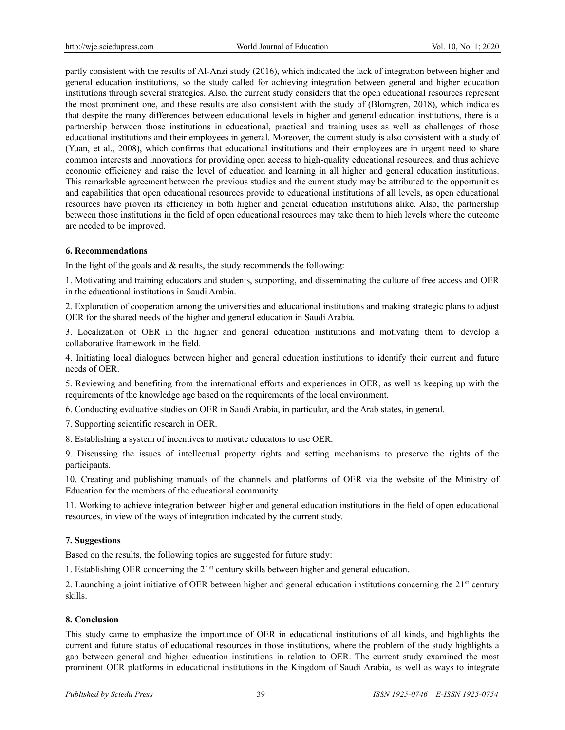partly consistent with the results of Al-Anzi study (2016), which indicated the lack of integration between higher and general education institutions, so the study called for achieving integration between general and higher education institutions through several strategies. Also, the current study considers that the open educational resources represent the most prominent one, and these results are also consistent with the study of (Blomgren, 2018), which indicates that despite the many differences between educational levels in higher and general education institutions, there is a partnership between those institutions in educational, practical and training uses as well as challenges of those educational institutions and their employees in general. Moreover, the current study is also consistent with a study of (Yuan, et al., 2008), which confirms that educational institutions and their employees are in urgent need to share common interests and innovations for providing open access to high-quality educational resources, and thus achieve economic efficiency and raise the level of education and learning in all higher and general education institutions. This remarkable agreement between the previous studies and the current study may be attributed to the opportunities and capabilities that open educational resources provide to educational institutions of all levels, as open educational resources have proven its efficiency in both higher and general education institutions alike. Also, the partnership between those institutions in the field of open educational resources may take them to high levels where the outcome are needed to be improved.

## **6. Recommendations**

In the light of the goals and  $&$  results, the study recommends the following:

1. Motivating and training educators and students, supporting, and disseminating the culture of free access and OER in the educational institutions in Saudi Arabia.

2. Exploration of cooperation among the universities and educational institutions and making strategic plans to adjust OER for the shared needs of the higher and general education in Saudi Arabia.

3. Localization of OER in the higher and general education institutions and motivating them to develop a collaborative framework in the field.

4. Initiating local dialogues between higher and general education institutions to identify their current and future needs of OER.

5. Reviewing and benefiting from the international efforts and experiences in OER, as well as keeping up with the requirements of the knowledge age based on the requirements of the local environment.

6. Conducting evaluative studies on OER in Saudi Arabia, in particular, and the Arab states, in general.

7. Supporting scientific research in OER.

8. Establishing a system of incentives to motivate educators to use OER.

9. Discussing the issues of intellectual property rights and setting mechanisms to preserve the rights of the participants.

10. Creating and publishing manuals of the channels and platforms of OER via the website of the Ministry of Education for the members of the educational community.

11. Working to achieve integration between higher and general education institutions in the field of open educational resources, in view of the ways of integration indicated by the current study.

## **7. Suggestions**

Based on the results, the following topics are suggested for future study:

1. Establishing OER concerning the  $21<sup>st</sup>$  century skills between higher and general education.

2. Launching a joint initiative of OER between higher and general education institutions concerning the  $21<sup>st</sup>$  century skills.

## **8. Conclusion**

This study came to emphasize the importance of OER in educational institutions of all kinds, and highlights the current and future status of educational resources in those institutions, where the problem of the study highlights a gap between general and higher education institutions in relation to OER. The current study examined the most prominent OER platforms in educational institutions in the Kingdom of Saudi Arabia, as well as ways to integrate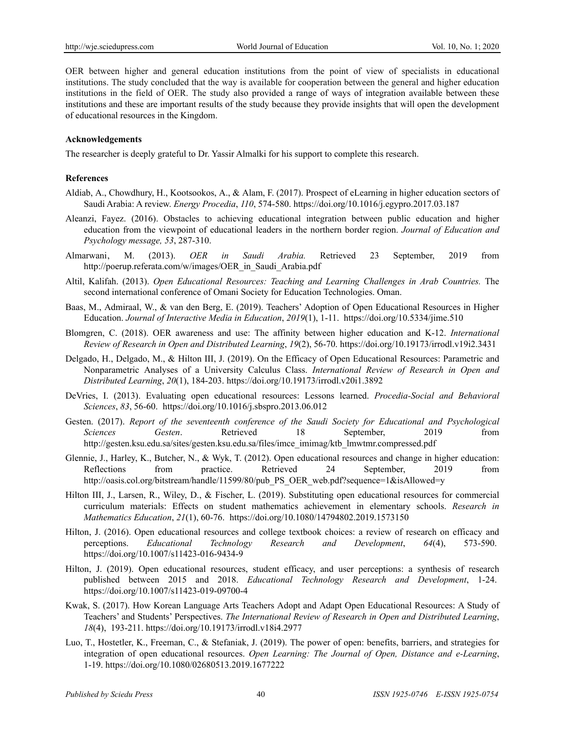OER between higher and general education institutions from the point of view of specialists in educational institutions. The study concluded that the way is available for cooperation between the general and higher education institutions in the field of OER. The study also provided a range of ways of integration available between these institutions and these are important results of the study because they provide insights that will open the development of educational resources in the Kingdom.

#### **Acknowledgements**

The researcher is deeply grateful to Dr. Yassir Almalki for his support to complete this research.

#### **References**

- Aldiab, A., Chowdhury, H., Kootsookos, A., & Alam, F. (2017). Prospect of eLearning in higher education sectors of Saudi Arabia: A review. *Energy Procedia*, *110*, 574-580. https://doi.org/10.1016/j.egypro.2017.03.187
- Aleanzi, Fayez. (2016). Obstacles to achieving educational integration between public education and higher education from the viewpoint of educational leaders in the northern border region. *Journal of Education and Psychology message, 53*, 287-310.
- Almarwani' M. (2013). *OER in Saudi Arabia.* Retrieved 23 September, 2019 from http://poerup.referata.com/w/images/OER\_in\_Saudi\_Arabia.pdf
- Altil, Kalifah. (2013). *Open Educational Resources: Teaching and Learning Challenges in Arab Countries.* The second international conference of Omani Society for Education Technologies. Oman.
- Baas, M., Admiraal, W., & van den Berg, E. (2019). Teachers' Adoption of Open Educational Resources in Higher Education. *Journal of Interactive Media in Education*, *2019*(1), 1-11. https://doi.org/10.5334/jime.510
- Blomgren, C. (2018). OER awareness and use: The affinity between higher education and K-12. *International Review of Research in Open and Distributed Learning*, *19*(2), 56-70. https://doi.org/10.19173/irrodl.v19i2.3431
- Delgado, H., Delgado, M., & Hilton III, J. (2019). On the Efficacy of Open Educational Resources: Parametric and Nonparametric Analyses of a University Calculus Class. *International Review of Research in Open and Distributed Learning*, *20*(1), 184-203. https://doi.org/10.19173/irrodl.v20i1.3892
- DeVries, I. (2013). Evaluating open educational resources: Lessons learned. *Procedia-Social and Behavioral Sciences*, *83*, 56-60. https://doi.org/10.1016/j.sbspro.2013.06.012
- Gesten. (2017). *Report of the seventeenth conference of the Saudi Society for Educational and Psychological Sciences Gesten*. Retrieved 18 September, 2019 from http://gesten.ksu.edu.sa/sites/gesten.ksu.edu.sa/files/imce\_imimag/ktb\_lmwtmr.compressed.pdf
- Glennie, J., Harley, K., Butcher, N., & Wyk, T. (2012). Open educational resources and change in higher education: Reflections from practice. Retrieved 24 September, 2019 from http://oasis.col.org/bitstream/handle/11599/80/pub\_PS\_OER\_web.pdf?sequence=1&isAllowed=y
- Hilton III, J., Larsen, R., Wiley, D., & Fischer, L. (2019). Substituting open educational resources for commercial curriculum materials: Effects on student mathematics achievement in elementary schools. *Research in Mathematics Education*, *21*(1), 60-76. https://doi.org/10.1080/14794802.2019.1573150
- Hilton, J. (2016). Open educational resources and college textbook choices: a review of research on efficacy and perceptions. *Educational Technology Research and Development*, *64*(4), 573-590. https://doi.org/10.1007/s11423-016-9434-9
- Hilton, J. (2019). Open educational resources, student efficacy, and user perceptions: a synthesis of research published between 2015 and 2018. *Educational Technology Research and Development*, 1-24. https://doi.org/10.1007/s11423-019-09700-4
- Kwak, S. (2017). How Korean Language Arts Teachers Adopt and Adapt Open Educational Resources: A Study of Teachers' and Students' Perspectives. *The International Review of Research in Open and Distributed Learning*, *18*(4), 193-211. https://doi.org/10.19173/irrodl.v18i4.2977
- Luo, T., Hostetler, K., Freeman, C., & Stefaniak, J. (2019). The power of open: benefits, barriers, and strategies for integration of open educational resources. *Open Learning: The Journal of Open, Distance and e-Learning*, 1-19. https://doi.org/10.1080/02680513.2019.1677222